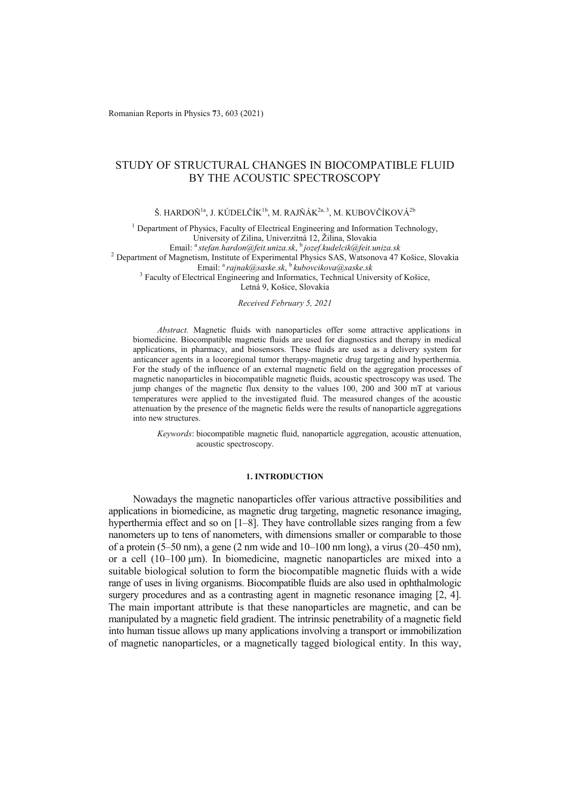Romanian Reports in Physics **7**3, 603 (2021)

# STUDY OF STRUCTURAL CHANGES IN BIOCOMPATIBLE FLUID BY THE ACOUSTIC SPECTROSCOPY

Š. HARDOŇ<sup>1a</sup>, J. KÚDELČÍK<sup>1b</sup>, M. RAJŇÁK<sup>2a, 3</sup>, M. KUBOVČÍKOVÁ<sup>2b</sup>

<sup>1</sup> Department of Physics, Faculty of Electrical Engineering and Information Technology, University of Zilina, Univerzitná 12, Žilina, Slovakia<br>Email: <sup>a</sup> stefan.hardon@feit.uniza.sk, <sup>b</sup>jozef.kudelcik@feit.uniza.sk <sup>2</sup> Department of Magnetism, Institute of Experimental Physics SAS, Watsonova 47 Košice, Slovakia Email: <sup>a</sup>*rajnak@saske.sk*, <sup>b</sup>*kubovcikova@saske.sk* <sup>3</sup> <sup>3</sup> Faculty of Electrical Engineering and Informatics, Technical University of Košice,

Letná 9, Košice, Slovakia

### *Received February 5, 2021*

*Abstract.* Magnetic fluids with nanoparticles offer some attractive applications in biomedicine. Biocompatible magnetic fluids are used for diagnostics and therapy in medical applications, in pharmacy, and biosensors. These fluids are used as a delivery system for anticancer agents in a locoregional tumor therapy-magnetic drug targeting and hyperthermia. For the study of the influence of an external magnetic field on the aggregation processes of magnetic nanoparticles in biocompatible magnetic fluids, acoustic spectroscopy was used. The jump changes of the magnetic flux density to the values 100, 200 and 300 mT at various temperatures were applied to the investigated fluid. The measured changes of the acoustic attenuation by the presence of the magnetic fields were the results of nanoparticle aggregations into new structures.

*Keywords*: biocompatible magnetic fluid, nanoparticle aggregation, acoustic attenuation, acoustic spectroscopy.

# **1. INTRODUCTION**

Nowadays the magnetic nanoparticles offer various attractive possibilities and applications in biomedicine, as magnetic drug targeting, magnetic resonance imaging, hyperthermia effect and so on  $[1-8]$ . They have controllable sizes ranging from a few nanometers up to tens of nanometers, with dimensions smaller or comparable to those of a protein (5–50 nm), a gene (2 nm wide and 10–100 nm long), a virus (20–450 nm), or a cell (10–100 μm). In biomedicine, magnetic nanoparticles are mixed into a suitable biological solution to form the biocompatible magnetic fluids with a wide range of uses in living organisms. Biocompatible fluids are also used in ophthalmologic surgery procedures and as a contrasting agent in magnetic resonance imaging [2, 4]. The main important attribute is that these nanoparticles are magnetic, and can be manipulated by a magnetic field gradient. The intrinsic penetrability of a magnetic field into human tissue allows up many applications involving a transport or immobilization of magnetic nanoparticles, or a magnetically tagged biological entity. In this way,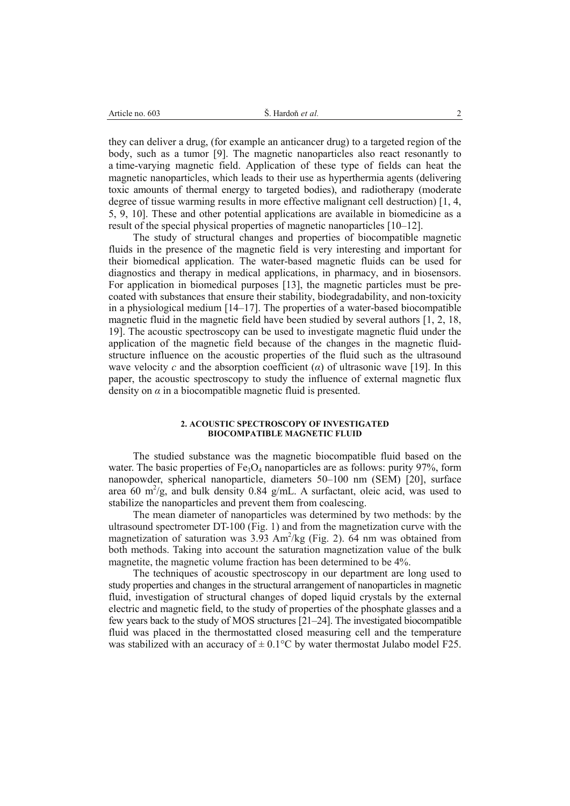| -605<br>Article no. | Hardon <i>et al.</i> |  |
|---------------------|----------------------|--|
|                     |                      |  |

they can deliver a drug, (for example an anticancer drug) to a targeted region of the body, such as a tumor [9]. The magnetic nanoparticles also react resonantly to a time-varying magnetic field. Application of these type of fields can heat the magnetic nanoparticles, which leads to their use as hyperthermia agents (delivering toxic amounts of thermal energy to targeted bodies), and radiotherapy (moderate degree of tissue warming results in more effective malignant cell destruction) [1, 4, 5, 9, 10]. These and other potential applications are available in biomedicine as a result of the special physical properties of magnetic nanoparticles [10–12].

The study of structural changes and properties of biocompatible magnetic fluids in the presence of the magnetic field is very interesting and important for their biomedical application. The water-based magnetic fluids can be used for diagnostics and therapy in medical applications, in pharmacy, and in biosensors. For application in biomedical purposes [13], the magnetic particles must be precoated with substances that ensure their stability, biodegradability, and non-toxicity in a physiological medium [14–17]. The properties of a water-based biocompatible magnetic fluid in the magnetic field have been studied by several authors [1, 2, 18, 19]. The acoustic spectroscopy can be used to investigate magnetic fluid under the application of the magnetic field because of the changes in the magnetic fluidstructure influence on the acoustic properties of the fluid such as the ultrasound wave velocity *c* and the absorption coefficient (*α*) of ultrasonic wave [19]. In this paper, the acoustic spectroscopy to study the influence of external magnetic flux density on  $\alpha$  in a biocompatible magnetic fluid is presented.

#### **2. ACOUSTIC SPECTROSCOPY OF INVESTIGATED BIOCOMPATIBLE MAGNETIC FLUID**

The studied substance was the magnetic biocompatible fluid based on the water. The basic properties of  $Fe<sub>3</sub>O<sub>4</sub>$  nanoparticles are as follows: purity 97%, form nanopowder, spherical nanoparticle, diameters 50–100 nm (SEM) [20], surface area 60 m<sup>2</sup>/g, and bulk density 0.84 g/mL. A surfactant, oleic acid, was used to stabilize the nanoparticles and prevent them from coalescing.

The mean diameter of nanoparticles was determined by two methods: by the ultrasound spectrometer DT-100 (Fig. 1) and from the magnetization curve with the magnetization of saturation was  $3.93 \text{ Am}^2/\text{kg}$  (Fig. 2). 64 nm was obtained from both methods. Taking into account the saturation magnetization value of the bulk magnetite, the magnetic volume fraction has been determined to be 4%.

The techniques of acoustic spectroscopy in our department are long used to study properties and changes in the structural arrangement of nanoparticles in magnetic fluid, investigation of structural changes of doped liquid crystals by the external electric and magnetic field, to the study of properties of the phosphate glasses and a few years back to the study of MOS structures [21–24]. The investigated biocompatible fluid was placed in the thermostatted closed measuring cell and the temperature was stabilized with an accuracy of  $\pm$  0.1°C by water thermostat Julabo model F25.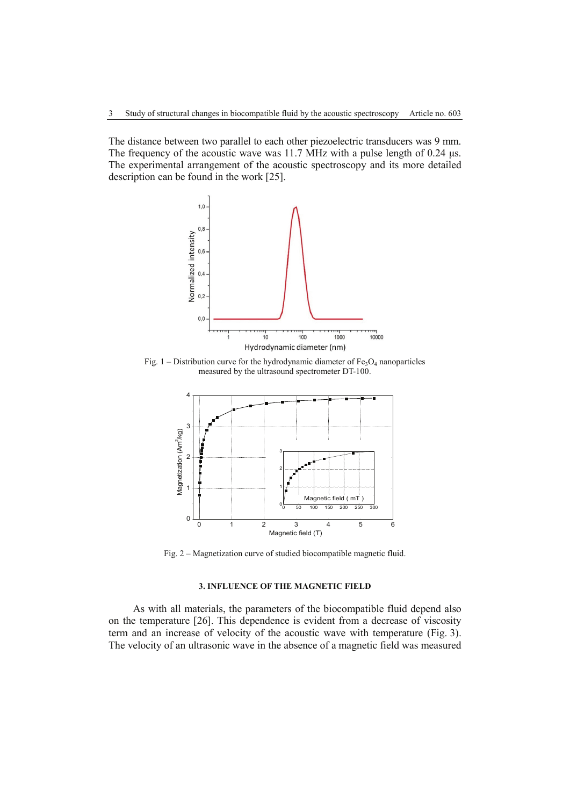The distance between two parallel to each other piezoelectric transducers was 9 mm. The frequency of the acoustic wave was 11.7 MHz with a pulse length of 0.24 μs. The experimental arrangement of the acoustic spectroscopy and its more detailed description can be found in the work [25].



Fig. 1 – Distribution curve for the hydrodynamic diameter of  $Fe<sub>3</sub>O<sub>4</sub>$  nanoparticles measured by the ultrasound spectrometer DT-100.



Fig. 2 – Magnetization curve of studied biocompatible magnetic fluid.

# **3. INFLUENCE OF THE MAGNETIC FIELD**

As with all materials, the parameters of the biocompatible fluid depend also on the temperature [26]. This dependence is evident from a decrease of viscosity term and an increase of velocity of the acoustic wave with temperature (Fig. 3). The velocity of an ultrasonic wave in the absence of a magnetic field was measured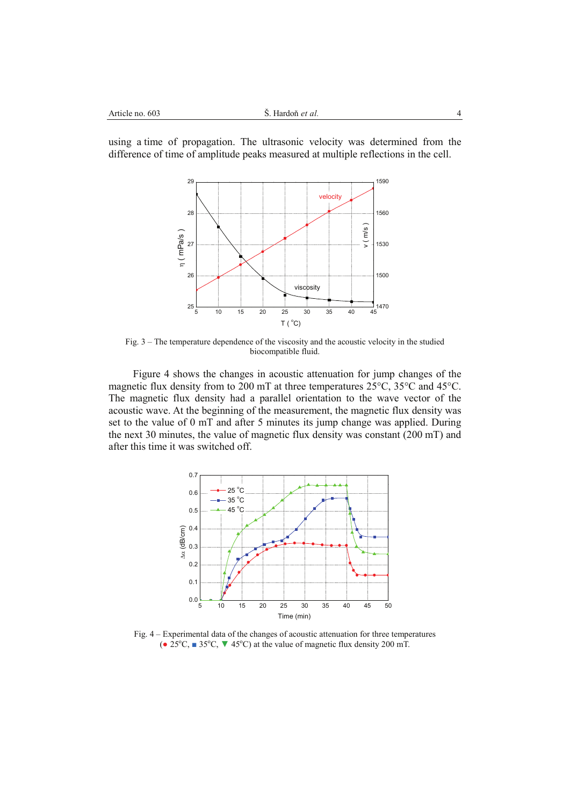using a time of propagation. The ultrasonic velocity was determined from the difference of time of amplitude peaks measured at multiple reflections in the cell.



Fig. 3 – The temperature dependence of the viscosity and the acoustic velocity in the studied biocompatible fluid.

Figure 4 shows the changes in acoustic attenuation for jump changes of the magnetic flux density from to 200 mT at three temperatures 25°C, 35°C and 45°C. The magnetic flux density had a parallel orientation to the wave vector of the acoustic wave. At the beginning of the measurement, the magnetic flux density was set to the value of 0 mT and after 5 minutes its jump change was applied. During the next 30 minutes, the value of magnetic flux density was constant (200 mT) and after this time it was switched off.



Fig. 4 – Experimental data of the changes of acoustic attenuation for three temperatures ( $\bullet$  25°C,  $\bullet$  35°C,  $\bullet$  45°C) at the value of magnetic flux density 200 mT.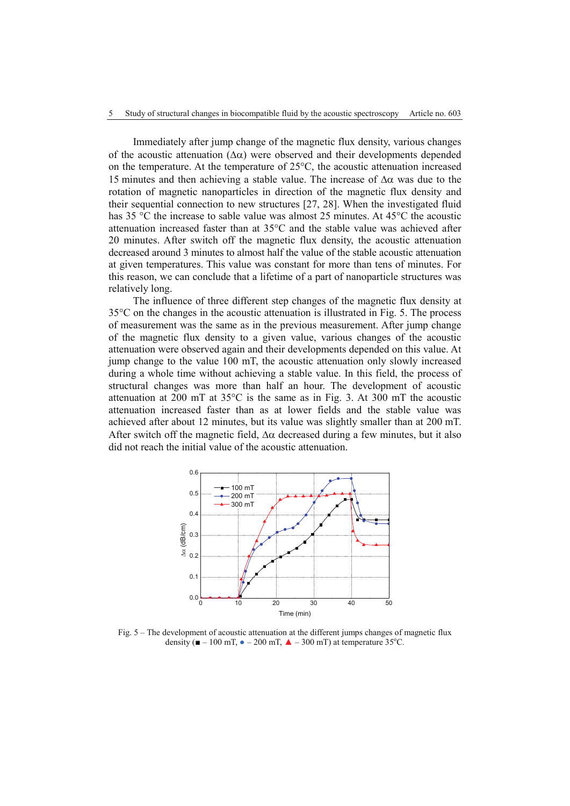Immediately after jump change of the magnetic flux density, various changes of the acoustic attenuation  $(\Delta \alpha)$  were observed and their developments depended on the temperature. At the temperature of 25°C, the acoustic attenuation increased 15 minutes and then achieving a stable value. The increase of  $\Delta\alpha$  was due to the rotation of magnetic nanoparticles in direction of the magnetic flux density and their sequential connection to new structures [27, 28]. When the investigated fluid has 35 °C the increase to sable value was almost 25 minutes. At 45°C the acoustic attenuation increased faster than at 35°C and the stable value was achieved after 20 minutes. After switch off the magnetic flux density, the acoustic attenuation decreased around 3 minutes to almost half the value of the stable acoustic attenuation at given temperatures. This value was constant for more than tens of minutes. For this reason, we can conclude that a lifetime of a part of nanoparticle structures was relatively long.

The influence of three different step changes of the magnetic flux density at 35°C on the changes in the acoustic attenuation is illustrated in Fig. 5. The process of measurement was the same as in the previous measurement. After jump change of the magnetic flux density to a given value, various changes of the acoustic attenuation were observed again and their developments depended on this value. At jump change to the value 100 mT, the acoustic attenuation only slowly increased during a whole time without achieving a stable value. In this field, the process of structural changes was more than half an hour. The development of acoustic attenuation at 200 mT at  $35^{\circ}$ C is the same as in Fig. 3. At 300 mT the acoustic attenuation increased faster than as at lower fields and the stable value was achieved after about 12 minutes, but its value was slightly smaller than at 200 mT. After switch off the magnetic field,  $\Delta \alpha$  decreased during a few minutes, but it also did not reach the initial value of the acoustic attenuation.



Fig. 5 – The development of acoustic attenuation at the different jumps changes of magnetic flux density ( $\blacksquare - 100$  mT,  $\blacklozenge -200$  mT,  $\blacktriangle - 300$  mT) at temperature 35°C.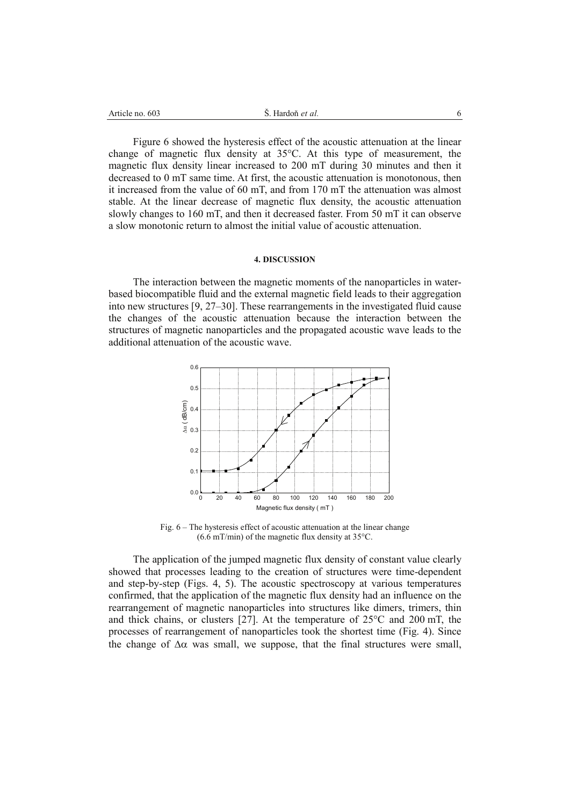| 603<br>Article no. | Hardon <i>et al</i> .<br>ັ. | . . |
|--------------------|-----------------------------|-----|
|                    |                             |     |

Figure 6 showed the hysteresis effect of the acoustic attenuation at the linear change of magnetic flux density at 35°C. At this type of measurement, the magnetic flux density linear increased to 200 mT during 30 minutes and then it decreased to 0 mT same time. At first, the acoustic attenuation is monotonous, then it increased from the value of 60 mT, and from 170 mT the attenuation was almost stable. At the linear decrease of magnetic flux density, the acoustic attenuation slowly changes to 160 mT, and then it decreased faster. From 50 mT it can observe a slow monotonic return to almost the initial value of acoustic attenuation.

### **4. DISCUSSION**

The interaction between the magnetic moments of the nanoparticles in waterbased biocompatible fluid and the external magnetic field leads to their aggregation into new structures [9, 27–30]. These rearrangements in the investigated fluid cause the changes of the acoustic attenuation because the interaction between the structures of magnetic nanoparticles and the propagated acoustic wave leads to the additional attenuation of the acoustic wave.



Fig. 6 – The hysteresis effect of acoustic attenuation at the linear change  $(6.6 \text{ mT/min})$  of the magnetic flux density at 35 $\textdegree$ C.

The application of the jumped magnetic flux density of constant value clearly showed that processes leading to the creation of structures were time-dependent and step-by-step (Figs. 4, 5). The acoustic spectroscopy at various temperatures confirmed, that the application of the magnetic flux density had an influence on the rearrangement of magnetic nanoparticles into structures like dimers, trimers, thin and thick chains, or clusters [27]. At the temperature of 25°C and 200 mT, the processes of rearrangement of nanoparticles took the shortest time (Fig. 4). Since the change of  $\Delta\alpha$  was small, we suppose, that the final structures were small,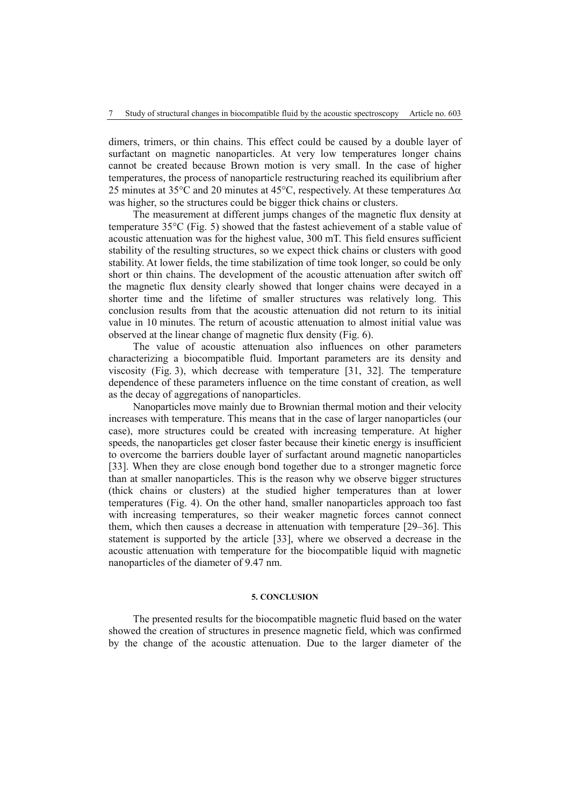dimers, trimers, or thin chains. This effect could be caused by a double layer of surfactant on magnetic nanoparticles. At very low temperatures longer chains cannot be created because Brown motion is very small. In the case of higher temperatures, the process of nanoparticle restructuring reached its equilibrium after 25 minutes at 35 °C and 20 minutes at 45 °C, respectively. At these temperatures  $\Delta \alpha$ was higher, so the structures could be bigger thick chains or clusters.

The measurement at different jumps changes of the magnetic flux density at temperature 35°C (Fig. 5) showed that the fastest achievement of a stable value of acoustic attenuation was for the highest value, 300 mT. This field ensures sufficient stability of the resulting structures, so we expect thick chains or clusters with good stability. At lower fields, the time stabilization of time took longer, so could be only short or thin chains. The development of the acoustic attenuation after switch off the magnetic flux density clearly showed that longer chains were decayed in a shorter time and the lifetime of smaller structures was relatively long. This conclusion results from that the acoustic attenuation did not return to its initial value in 10 minutes. The return of acoustic attenuation to almost initial value was observed at the linear change of magnetic flux density (Fig. 6).

The value of acoustic attenuation also influences on other parameters characterizing a biocompatible fluid. Important parameters are its density and viscosity (Fig. 3), which decrease with temperature [31, 32]. The temperature dependence of these parameters influence on the time constant of creation, as well as the decay of aggregations of nanoparticles.

Nanoparticles move mainly due to Brownian thermal motion and their velocity increases with temperature. This means that in the case of larger nanoparticles (our case), more structures could be created with increasing temperature. At higher speeds, the nanoparticles get closer faster because their kinetic energy is insufficient to overcome the barriers double layer of surfactant around magnetic nanoparticles [33]. When they are close enough bond together due to a stronger magnetic force than at smaller nanoparticles. This is the reason why we observe bigger structures (thick chains or clusters) at the studied higher temperatures than at lower temperatures (Fig. 4). On the other hand, smaller nanoparticles approach too fast with increasing temperatures, so their weaker magnetic forces cannot connect them, which then causes a decrease in attenuation with temperature [29–36]. This statement is supported by the article [33], where we observed a decrease in the acoustic attenuation with temperature for the biocompatible liquid with magnetic nanoparticles of the diameter of 9.47 nm.

# **5. CONCLUSION**

The presented results for the biocompatible magnetic fluid based on the water showed the creation of structures in presence magnetic field, which was confirmed by the change of the acoustic attenuation. Due to the larger diameter of the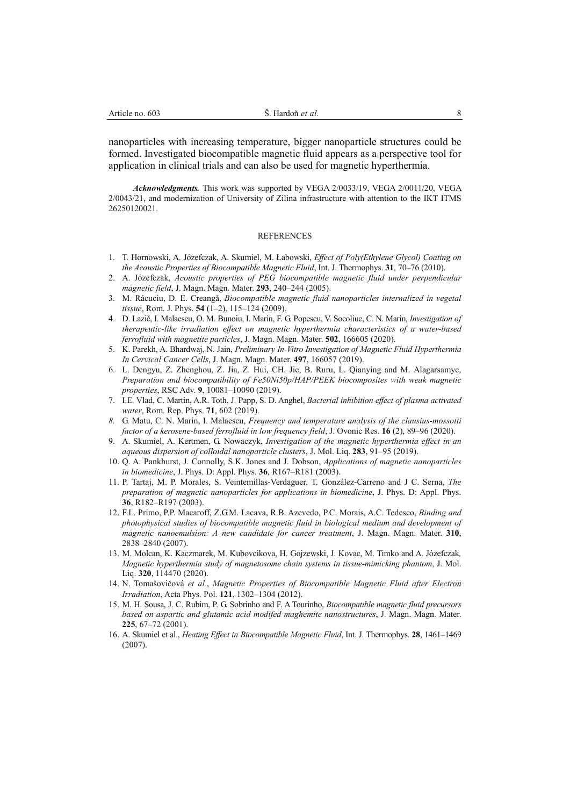nanoparticles with increasing temperature, bigger nanoparticle structures could be formed. Investigated biocompatible magnetic fluid appears as a perspective tool for application in clinical trials and can also be used for magnetic hyperthermia.

*Acknowledgments.* This work was supported by VEGA 2/0033/19, VEGA 2/0011/20, VEGA 2/0043/21, and modernization of University of Zilina infrastructure with attention to the IKT ITMS 26250120021.

#### **REFERENCES**

- 1. T. Hornowski, A. Józefczak, A. Skumiel, M. Łabowski, *Effect of Poly(Ethylene Glycol) Coating on the Acoustic Properties of Biocompatible Magnetic Fluid*, Int. J. Thermophys. **31**, 70–76 (2010).
- 2. A. Józefczak, *Acoustic properties of PEG biocompatible magnetic fluid under perpendicular magnetic field*, J. Magn. Magn. Mater. **293**, 240–244 (2005).
- 3. M. Rácuciu, D. E. Creangă, *Biocompatible magnetic fluid nanoparticles internalized in vegetal tissue*, Rom. J. Phys. **54** (1–2), 115–124 (2009).
- 4. D. Lazič, I. Malaescu, O. M. Bunoiu, I. Marin, F. G. Popescu, V. Socoliuc, C. N. Marin, *Investigation of therapeutic-like irradiation effect on magnetic hyperthermia characteristics of a water-based ferrofluid with magnetite particles*, J. Magn. Magn. Mater. **502**, 166605 (2020).
- 5. K. Parekh, A. Bhardwaj, N. Jain, *Preliminary In-Vitro Investigation of Magnetic Fluid Hyperthermia In Cervical Cancer Cells*, J. Magn. Magn. Mater. **497**, 166057 (2019).
- 6. L. Dengyu, Z. Zhenghou, Z. Jia, Z. Hui, CH. Jie, B. Ruru, L. Qianying and M. Alagarsamyc, *Preparation and biocompatibility of Fe50Ni50p/HAP/PEEK biocomposites with weak magnetic properties*, RSC Adv. **9**, 10081–10090 (2019).
- 7. I.E. Vlad, C. Martin, A.R. Toth, J. Papp, S. D. Anghel, *Bacterial inhibition effect of plasma activated water*, Rom. Rep. Phys. **71**, 602 (2019).
- *8.* G. Matu, C. N. Marin, I. Malaescu, *Frequency and temperature analysis of the clausius-mossotti factor of a kerosene-based ferrofluid in low frequency field*, J. Ovonic Res. **16** (2), 89–96 (2020).
- 9. A. Skumiel, A. Kertmen, G. Nowaczyk, *Investigation of the magnetic hyperthermia effect in an aqueous dispersion of colloidal nanoparticle clusters*, J. Mol. Liq. **283**, 91–95 (2019).
- 10. Q. A. Pankhurst, J. Connolly, S.K. Jones and J. Dobson, *Applications of magnetic nanoparticles in biomedicine*, J. Phys. D: Appl. Phys. **36**, R167–R181 (2003).
- 11. P. Tartaj, M. P. Morales, S. Veintemillas-Verdaguer, T. González-Carreno and J C. Serna, *The preparation of magnetic nanoparticles for applications in biomedicine*, J. Phys. D: Appl. Phys. **36**, R182–R197 (2003).
- 12. F.L. Primo, P.P. Macaroff, Z.G.M. Lacava, R.B. Azevedo, P.C. Morais, A.C. Tedesco, *Binding and photophysical studies of biocompatible magnetic fluid in biological medium and development of magnetic nanoemulsion: A new candidate for cancer treatment*, J. Magn. Magn. Mater. **310**, 2838–2840 (2007).
- 13. M. Molcan, K. Kaczmarek, M. Kubovcikova, H. Gojzewski, J. Kovac, M. Timko and A. Józefczak*, Magnetic hyperthermia study of magnetosome chain systems in tissue-mimicking phantom*, J. Mol. Liq. **320**, 114470 (2020).
- 14. N. Tomašovičová *et al.*, *Magnetic Properties of Biocompatible Magnetic Fluid after Electron Irradiation*, Acta Phys. Pol. **121**, 1302–1304 (2012).
- 15. M. H. Sousa, J. C. Rubim, P. G. Sobrinho and F. A Tourinho, *Biocompatible magnetic fluid precursors based on aspartic and glutamic acid modifed maghemite nanostructures*, J. Magn. Magn. Mater. **225**, 67–72 (2001).
- 16. A. Skumiel et al., *Heating Effect in Biocompatible Magnetic Fluid*, Int. J. Thermophys. **28**, 1461–1469 (2007).